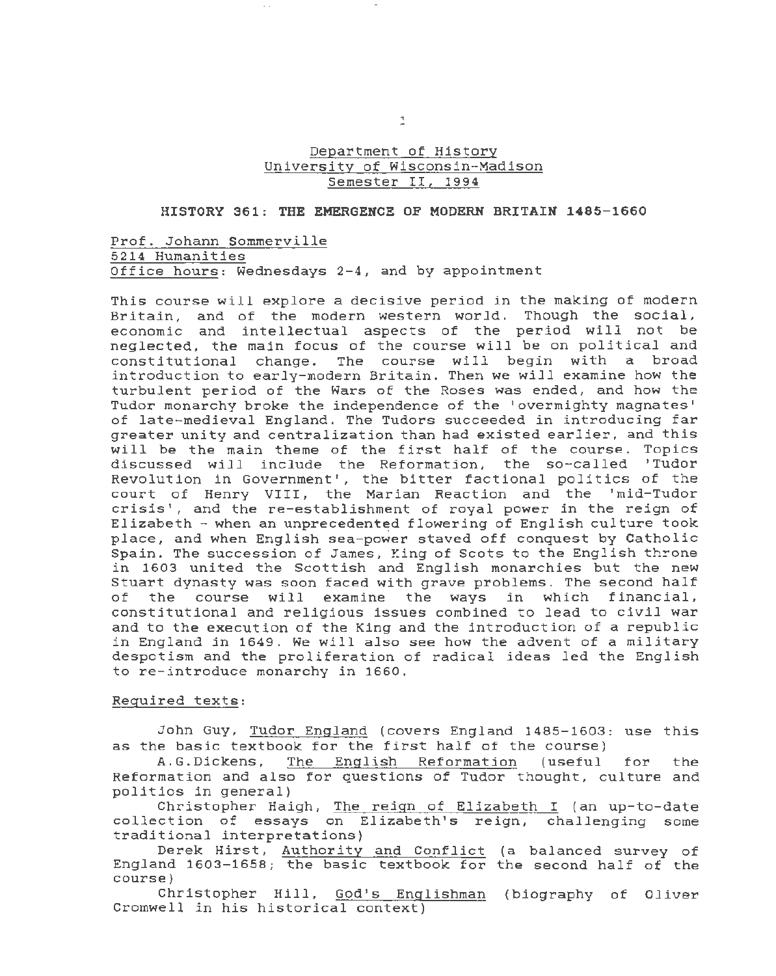## Department of History University of Wisconsin-Madison Semester II, 1994

## **HISTORY 361 : THE EMERGENCE OF MODERN BRITAIN 1485-1660**

Prof. Johann Sommerville 5214 Humanities Office hours: Wednesdays 2-4, and by appointment

This course will explore a decisive period *in* the making of modern Britain, and of the modern western world. Though the social, economic and intellectual aspects of the period will not be neglected, the main focus of the course will be on political and constitutional change. The course will begin with a broad introduction to early-modern Britain. Then we will examine how the turbulent period of the Wars of the Roses was ended, and how the Tudor monarchy broke the independence of the 'overmighty magnates' of late-medieval England. The Tudors succeeded in introducing far greater unity and centralization than had existed earlier, and this will be the main theme of the first half of the course. Topics discussed will include the Reformation, the so-called 'Tudor Revolution in Government', the bitter factional politics of the court of Henry VIII, the Marian Reaction and the 'mid-Tudor crisis', and the re-establishment of royal power *in* the reign of Elizabeth - when an unprecedented flowering of English culture took place, and when English sea-power staved off conquest by Catholic Spain. The succession of James, King of Scots to the English throne *in* 1603 united the Scottish and English monarchies but the new Stuart dynasty was soon faced with grave problems. The second half of the course will examine the ways *in* which financial, constitutional and religious issues combined to lead to *civil* war and to the execution of the King and the introduction of a republic *in* England in 1649. We will also see how the advent of a military despotism and the proliferation of radical ideas led the English to re-introduce monarchy in 1660.

## Required texts:

John Guy, Tudor England (covers England 1485-1603: use this as the basic textbook for the first half of the course)

A. G. Dickens, The English Reformation (useful for the Reformation and also for questions of Tudor thought, culture and politics in general)

Christopher Haigh, The reign of Elizabeth I (an up-to-date collection of essays on Elizabeth's reign, challenging some traditional interpretations)

Derek Hirst, Authority and Conflict (a balanced survey of England 1603-1658; the basic textbook for the second half of the course)

Christopher Hill, God's Englishman (biography of Oliver Cromwell in his historical context)

 $\mathbf{1}$